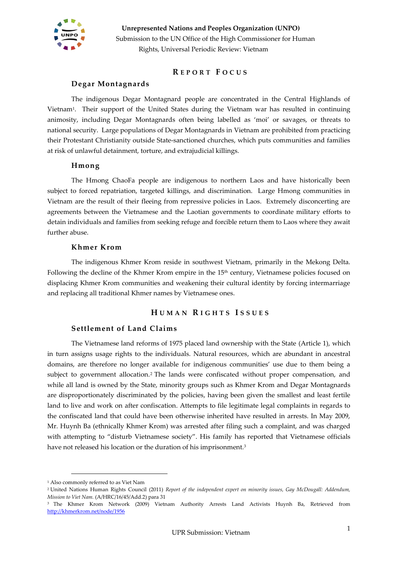

### **R E P O R T F O C U S**

### **Degar Montagnards**

The indigenous Degar Montagnard people are concentrated in the Central Highlands of Vietnam<sup>1</sup> . Their support of the United States during the Vietnam war has resulted in continuing animosity, including Degar Montagnards often being labelled as 'moi' or savages, or threats to national security. Large populations of Degar Montagnards in Vietnam are prohibited from practicing their Protestant Christianity outside State-sanctioned churches, which puts communities and families at risk of unlawful detainment, torture, and extrajudicial killings.

#### **Hmong**

The Hmong ChaoFa people are indigenous to northern Laos and have historically been subject to forced repatriation, targeted killings, and discrimination. Large Hmong communities in Vietnam are the result of their fleeing from repressive policies in Laos. Extremely disconcerting are agreements between the Vietnamese and the Laotian governments to coordinate military efforts to detain individuals and families from seeking refuge and forcible return them to Laos where they await further abuse.

#### **Khmer Krom**

The indigenous Khmer Krom reside in southwest Vietnam, primarily in the Mekong Delta. Following the decline of the Khmer Krom empire in the 15<sup>th</sup> century, Vietnamese policies focused on displacing Khmer Krom communities and weakening their cultural identity by forcing intermarriage and replacing all traditional Khmer names by Vietnamese ones.

### **H U M A N R I G H T S I S S U E S**

### **Settlement of Land Claims**

The Vietnamese land reforms of 1975 placed land ownership with the State (Article 1), which in turn assigns usage rights to the individuals. Natural resources, which are abundant in ancestral domains, are therefore no longer available for indigenous communities' use due to them being a subject to government allocation.<sup>2</sup> The lands were confiscated without proper compensation, and while all land is owned by the State, minority groups such as Khmer Krom and Degar Montagnards are disproportionately discriminated by the policies, having been given the smallest and least fertile land to live and work on after confiscation. Attempts to file legitimate legal complaints in regards to the confiscated land that could have been otherwise inherited have resulted in arrests. In May 2009, Mr. Huynh Ba (ethnically Khmer Krom) was arrested after filing such a complaint, and was charged with attempting to "disturb Vietnamese society". His family has reported that Vietnamese officials have not released his location or the duration of his imprisonment. $^3$ 

<sup>1</sup> Also commonly referred to as Viet Nam

<sup>2</sup> United Nations Human Rights Council (2011) *Report of the independent expert on minority issues, Gay McDougall: Addendum, Mission to Viet Nam.* (A/HRC/16/45/Add.2) para 31

<sup>3</sup> The Khmer Krom Network (2009) Vietnam Authority Arrests Land Activists Huynh Ba, Retrieved from <http://khmerkrom.net/node/1956>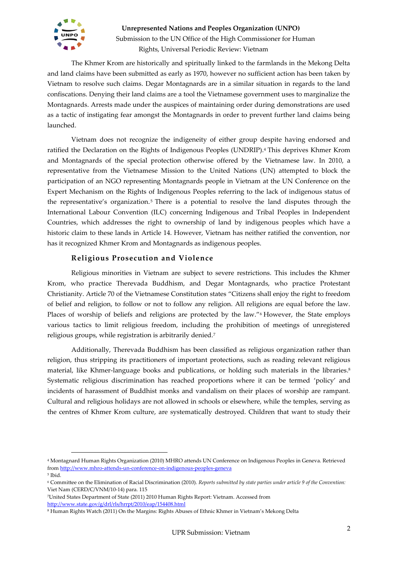

The Khmer Krom are historically and spiritually linked to the farmlands in the Mekong Delta and land claims have been submitted as early as 1970, however no sufficient action has been taken by Vietnam to resolve such claims. Degar Montagnards are in a similar situation in regards to the land confiscations. Denying their land claims are a tool the Vietnamese government uses to marginalize the Montagnards. Arrests made under the auspices of maintaining order during demonstrations are used as a tactic of instigating fear amongst the Montagnards in order to prevent further land claims being launched.

Vietnam does not recognize the indigeneity of either group despite having endorsed and ratified the Declaration on the Rights of Indigenous Peoples (UNDRIP).<sup>4</sup> This deprives Khmer Krom and Montagnards of the special protection otherwise offered by the Vietnamese law. In 2010, a representative from the Vietnamese Mission to the United Nations (UN) attempted to block the participation of an NGO representing Montagnards people in Vietnam at the UN Conference on the Expert Mechanism on the Rights of Indigenous Peoples referring to the lack of indigenous status of the representative's organization. <sup>5</sup> There is a potential to resolve the land disputes through the International Labour Convention (ILC) concerning Indigenous and Tribal Peoples in Independent Countries, which addresses the right to ownership of land by indigenous peoples which have a historic claim to these lands in Article 14. However, Vietnam has neither ratified the convention, nor has it recognized Khmer Krom and Montagnards as indigenous peoples.

### **Religious Prosecution and Violence**

Religious minorities in Vietnam are subject to severe restrictions. This includes the Khmer Krom, who practice Therevada Buddhism, and Degar Montagnards, who practice Protestant Christianity. Article 70 of the Vietnamese Constitution states "Citizens shall enjoy the right to freedom of belief and religion, to follow or not to follow any religion. All religions are equal before the law. Places of worship of beliefs and religions are protected by the law."<sup>6</sup> However, the State employs various tactics to limit religious freedom, including the prohibition of meetings of unregistered religious groups, while registration is arbitrarily denied.<sup>7</sup>

Additionally, Therevada Buddhism has been classified as religious organization rather than religion, thus stripping its practitioners of important protections, such as reading relevant religious material, like Khmer-language books and publications, or holding such materials in the libraries. 8 Systematic religious discrimination has reached proportions where it can be termed 'policy' and incidents of harassment of Buddhist monks and vandalism on their places of worship are rampant. Cultural and religious holidays are not allowed in schools or elsewhere, while the temples, serving as the centres of Khmer Krom culture, are systematically destroyed. Children that want to study their

<sup>4</sup> Montagnard Human Rights Organization (2010) MHRO attends UN Conference on Indigenous Peoples in Geneva. Retrieved fro[m http://www.mhro-attends-un-conference-on-indigenous-peoples-geneva](http://www.mhro-attends-un-conference-on-indigenous-peoples-geneva/)

<sup>5</sup> Ibid.

<sup>6</sup> Committee on the Elimination of Racial Discrimination (2010). *Reports submitted by state parties under article 9 of the Convention:*  Viet Nam (CERD/C/VNM/10-14) para. 115

<sup>7</sup>United States Department of State (2011) 2010 Human Rights Report: Vietnam. Accessed from <http://www.state.gov/g/drl/rls/hrrpt/2010/eap/154408.html>

<sup>8</sup> Human Rights Watch (2011) On the Margins: Rights Abuses of Ethnic Khmer in Vietnam's Mekong Delta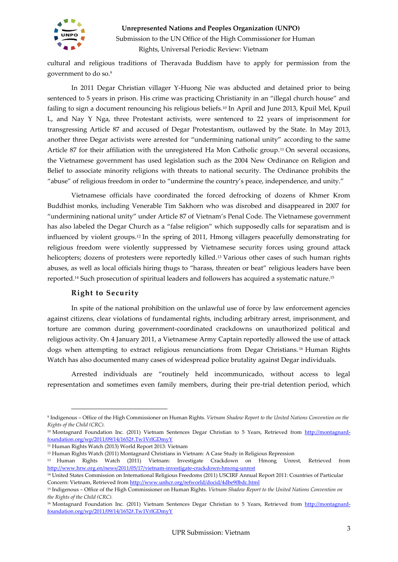

cultural and religious traditions of Theravada Buddism have to apply for permission from the government to do so.<sup>9</sup>

In 2011 Degar Christian villager Y-Huong Nie was abducted and detained prior to being sentenced to 5 years in prison. His crime was practicing Christianity in an "illegal church house" and failing to sign a document renouncing his religious beliefs.<sup>10</sup> In April and June 2013, Kpuil Mel, Kpuil L, and Nay Y Nga, three Protestant activists, were sentenced to 22 years of imprisonment for transgressing Article 87 and accused of Degar Protestantism, outlawed by the State. In May 2013, another three Degar activists were arrested for "undermining national unity" according to the same Article 87 for their affiliation with the unregistered Ha Mon Catholic group.<sup>11</sup> On several occasions, the Vietnamese government has used legislation such as the 2004 New Ordinance on Religion and Belief to associate minority religions with threats to national security. The Ordinance prohibits the "abuse" of religious freedom in order to "undermine the country's peace, independence, and unity."

Vietnamese officials have coordinated the forced defrocking of dozens of Khmer Krom Buddhist monks, including Venerable Tim Sakhorn who was disrobed and disappeared in 2007 for "undermining national unity" under Article 87 of Vietnam's Penal Code. The Vietnamese government has also labeled the Degar Church as a "false religion" which supposedly calls for separatism and is influenced by violent groups.<sup>12</sup> In the spring of 2011, Hmong villagers peacefully demonstrating for religious freedom were violently suppressed by Vietnamese security forces using ground attack helicopters; dozens of protesters were reportedly killed.<sup>13</sup> Various other cases of such human rights abuses, as well as local officials hiring thugs to "harass, threaten or beat" religious leaders have been reported.<sup>14</sup> Such prosecution of spiritual leaders and followers has acquired a systematic nature.<sup>15</sup>

### **Right to Security**

In spite of the national prohibition on the unlawful use of force by law enforcement agencies against citizens, clear violations of fundamental rights, including arbitrary arrest, imprisonment, and torture are common during government-coordinated crackdowns on unauthorized political and religious activity. On 4 January 2011, a Vietnamese Army Captain reportedly allowed the use of attack dogs when attempting to extract religious renunciations from Degar Christians. <sup>16</sup> Human Rights Watch has also documented many cases of widespread police brutality against Degar individuals.

Arrested individuals are "routinely held incommunicado, without access to legal representation and sometimes even family members, during their pre-trial detention period, which

<sup>9</sup> Indigenous – Office of the High Commissioner on Human Rights. *Vietnam Shadow Report to the United Nations Convention on the Rights of the Child (CRC).*

<sup>&</sup>lt;sup>10</sup> Montagnard Foundation Inc. (2011) Vietnam Sentences Degar Christian to 5 Years, Retrieved from [http://montagnard](http://montagnard-foundation.org/wp/2011/09/14/1652#.Tw1VrlGDmyY)[foundation.org/wp/2011/09/14/1652#.Tw1VrlGDmyY](http://montagnard-foundation.org/wp/2011/09/14/1652#.Tw1VrlGDmyY)

<sup>11</sup> Human Rights Watch (2013) World Report 2013: Vietnam

<sup>&</sup>lt;sup>12</sup> Human Rights Watch (2011) Montagnard Christians in Vietnam: A Case Study in Religious Repression

<sup>13</sup> Human Rights Watch (2011) Vietnam: Investigate Crackdown on Hmong Unrest, Retrieved from <http://www.hrw.org.en/news/2011/05/17/vietnam-investigate-crackdown-hmong-unrest>

<sup>14</sup> United States Commission on International Religious Freedoms (2011) USCIRF Annual Report 2011: Countries of Particular Concern: Vietnam, Retrieved fro[m http://www.unhcr.org/refworld/docid/4dbe90bdc.html](http://www.unhcr.org/refworld/docid/4dbe90bdc.html)

<sup>15</sup> Indigenous – Office of the High Commissioner on Human Rights. *Vietnam Shadow Report to the United Nations Convention on the Rights of the Child (CRC).*

<sup>&</sup>lt;sup>16</sup> Montagnard Foundation Inc. (2011) Vietnam Sentences Degar Christian to 5 Years, Retrieved from [http://montagnard](http://montagnard-foundation.org/wp/2011/09/14/1652#.Tw1VrlGDmyY)[foundation.org/wp/2011/09/14/1652#.Tw1VrlGDmyY](http://montagnard-foundation.org/wp/2011/09/14/1652#.Tw1VrlGDmyY)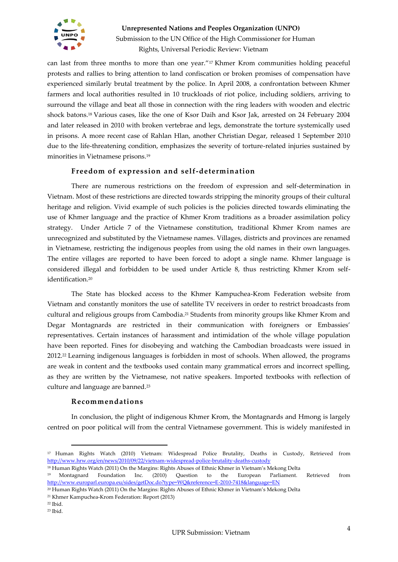

can last from three months to more than one year."<sup>17</sup> Khmer Krom communities holding peaceful protests and rallies to bring attention to land confiscation or broken promises of compensation have experienced similarly brutal treatment by the police. In April 2008, a confrontation between Khmer farmers and local authorities resulted in 10 truckloads of riot police, including soldiers, arriving to surround the village and beat all those in connection with the ring leaders with wooden and electric shock batons.<sup>18</sup> Various cases, like the one of Ksor Daih and Ksor Jak, arrested on 24 February 2004 and later released in 2010 with broken vertebrae and legs, demonstrate the torture systemically used in prisons. A more recent case of Rahlan Hlan, another Christian Degar, released 1 September 2010 due to the life-threatening condition, emphasizes the severity of torture-related injuries sustained by minorities in Vietnamese prisons.<sup>19</sup>

### **Freedom of expression and self-determination**

There are numerous restrictions on the freedom of expression and self-determination in Vietnam. Most of these restrictions are directed towards stripping the minority groups of their cultural heritage and religion. Vivid example of such policies is the policies directed towards eliminating the use of Khmer language and the practice of Khmer Krom traditions as a broader assimilation policy strategy. Under Article 7 of the Vietnamese constitution, traditional Khmer Krom names are unrecognized and substituted by the Vietnamese names. Villages, districts and provinces are renamed in Vietnamese, restricting the indigenous peoples from using the old names in their own languages. The entire villages are reported to have been forced to adopt a single name. Khmer language is considered illegal and forbidden to be used under Article 8, thus restricting Khmer Krom selfidentification.<sup>20</sup>

The State has blocked access to the Khmer Kampuchea-Krom Federation website from Vietnam and constantly monitors the use of satellite TV receivers in order to restrict broadcasts from cultural and religious groups from Cambodia. <sup>21</sup> Students from minority groups like Khmer Krom and Degar Montagnards are restricted in their communication with foreigners or Embassies' representatives. Certain instances of harassment and intimidation of the whole village population have been reported. Fines for disobeying and watching the Cambodian broadcasts were issued in 2012.<sup>22</sup> Learning indigenous languages is forbidden in most of schools. When allowed, the programs are weak in content and the textbooks used contain many grammatical errors and incorrect spelling, as they are written by the Vietnamese, not native speakers. Imported textbooks with reflection of culture and language are banned.<sup>23</sup>

### **Recommendations**

In conclusion, the plight of indigenous Khmer Krom, the Montagnards and Hmong is largely centred on poor political will from the central Vietnamese government. This is widely manifested in

<sup>17</sup> Human Rights Watch (2010) Vietnam: Widespread Police Brutality, Deaths in Custody, Retrieved from <http://www.hrw.org/en/news/2010/09/22/vietnam-widespread-police-brutality-deaths-custody>

<sup>18</sup> Human Rights Watch (2011) On the Margins: Rights Abuses of Ethnic Khmer in Vietnam's Mekong Delta

<sup>19</sup> Montagnard Foundation Inc. (2010) Question to the European Parliament. Retrieved from <http://www.europarl.europa.eu/sides/getDoc.do?type=WQ&reference=E-2010-7418&language=EN>

<sup>20</sup> Human Rights Watch (2011) On the Margins: Rights Abuses of Ethnic Khmer in Vietnam's Mekong Delta

<sup>21</sup> Khmer Kampuchea-Krom Federation: Report (2013)

<sup>22</sup> Ibid.

<sup>23</sup> Ibid.